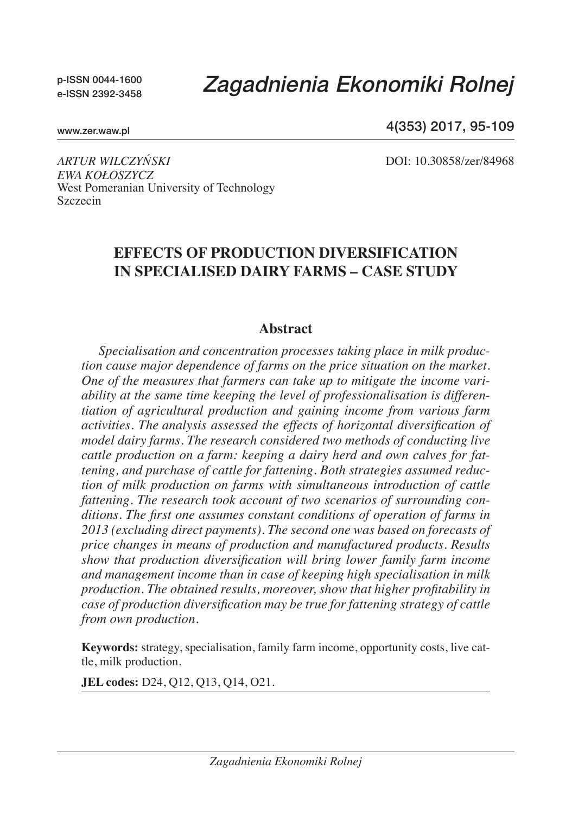p-ISSN 0044-1600 e-ISSN 2392-3458

# *Zagadnienia Ekonomiki Rolnej*

www.zer.waw.pl

4(353) 2017, 95-109

*Artur Wilczyński* DOI: 10.30858/zer/84968 *Ewa Kołoszycz* West Pomeranian University of Technology Szczecin

# **Effects of production diversification in specialised dairy farms – case study**

### **Abstract**

*Specialisation and concentration processes taking place in milk production cause major dependence of farms on the price situation on the market. One of the measures that farmers can take up to mitigate the income variability at the same time keeping the level of professionalisation is differentiation of agricultural production and gaining income from various farm activities. The analysis assessed the effects of horizontal diversification of model dairy farms. The research considered two methods of conducting live cattle production on a farm: keeping a dairy herd and own calves for fattening, and purchase of cattle for fattening. Both strategies assumed reduction of milk production on farms with simultaneous introduction of cattle fattening. The research took account of two scenarios of surrounding conditions. The first one assumes constant conditions of operation of farms in 2013 (excluding direct payments). The second one was based on forecasts of price changes in means of production and manufactured products. Results show that production diversification will bring lower family farm income and management income than in case of keeping high specialisation in milk production. The obtained results, moreover, show that higher profitability in case of production diversification may be true for fattening strategy of cattle from own production.* 

**Keywords:** strategy, specialisation, family farm income, opportunity costs, live cattle, milk production.

**JEL codes:** D24, Q12, Q13, Q14, O21.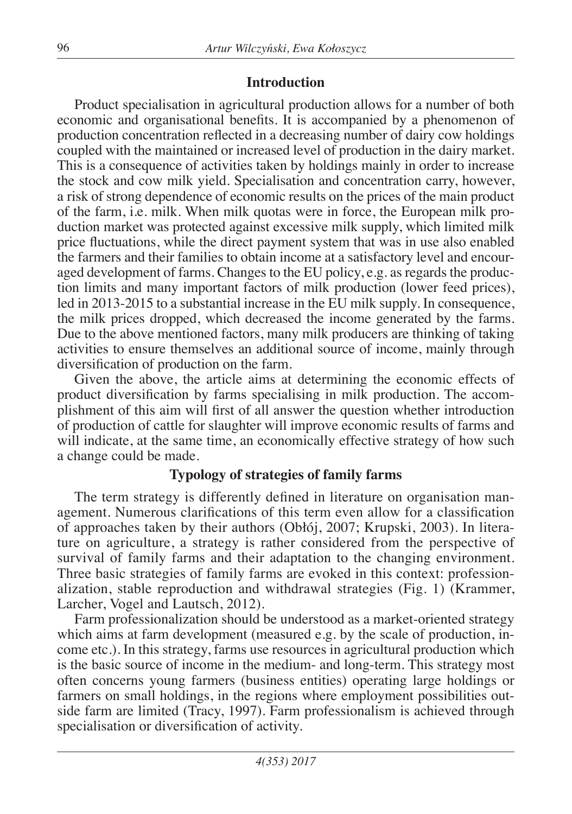# **Introduction**

Product specialisation in agricultural production allows for a number of both economic and organisational benefits. It is accompanied by a phenomenon of production concentration reflected in a decreasing number of dairy cow holdings coupled with the maintained or increased level of production in the dairy market. This is a consequence of activities taken by holdings mainly in order to increase the stock and cow milk yield. Specialisation and concentration carry, however, a risk of strong dependence of economic results on the prices of the main product of the farm, i.e. milk. When milk quotas were in force, the European milk production market was protected against excessive milk supply, which limited milk price fluctuations, while the direct payment system that was in use also enabled the farmers and their families to obtain income at a satisfactory level and encouraged development of farms. Changes to the EU policy, e.g. as regards the production limits and many important factors of milk production (lower feed prices), led in 2013-2015 to a substantial increase in the EU milk supply. In consequence, the milk prices dropped, which decreased the income generated by the farms. Due to the above mentioned factors, many milk producers are thinking of taking activities to ensure themselves an additional source of income, mainly through diversification of production on the farm.

Given the above, the article aims at determining the economic effects of product diversification by farms specialising in milk production. The accomplishment of this aim will first of all answer the question whether introduction of production of cattle for slaughter will improve economic results of farms and will indicate, at the same time, an economically effective strategy of how such a change could be made.

# **Typology of strategies of family farms**

The term strategy is differently defined in literature on organisation management. Numerous clarifications of this term even allow for a classification of approaches taken by their authors (Obłój, 2007; Krupski, 2003). In literature on agriculture, a strategy is rather considered from the perspective of survival of family farms and their adaptation to the changing environment. Three basic strategies of family farms are evoked in this context: professionalization, stable reproduction and withdrawal strategies (Fig. 1) (Krammer, Larcher, Vogel and Lautsch, 2012).

Farm professionalization should be understood as a market-oriented strategy which aims at farm development (measured e.g. by the scale of production, income etc.). In this strategy, farms use resources in agricultural production which is the basic source of income in the medium- and long-term. This strategy most often concerns young farmers (business entities) operating large holdings or farmers on small holdings, in the regions where employment possibilities outside farm are limited (Tracy, 1997). Farm professionalism is achieved through specialisation or diversification of activity.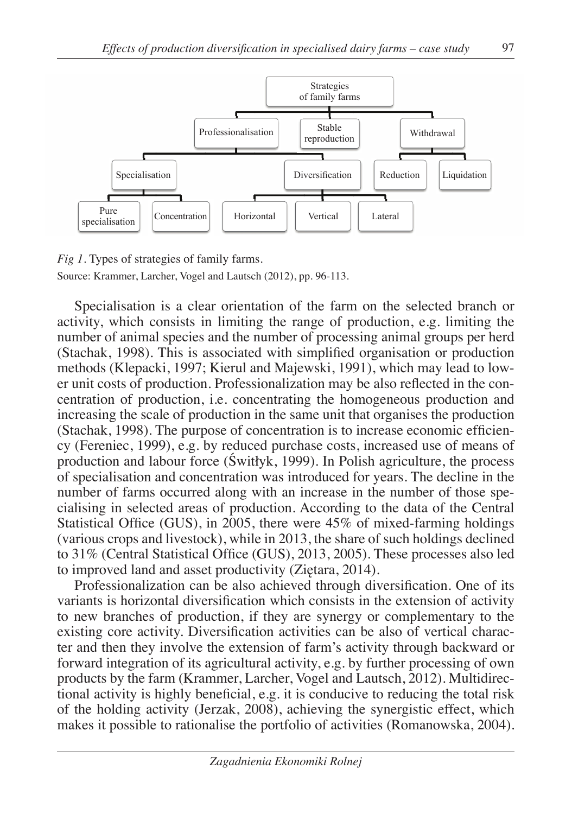

*Fig 1.* Types of strategies of family farms. Source: Krammer, Larcher, Vogel and Lautsch (2012), pp. 96-113.

Specialisation is a clear orientation of the farm on the selected branch or activity, which consists in limiting the range of production, e.g. limiting the number of animal species and the number of processing animal groups per herd (Stachak, 1998). This is associated with simplified organisation or production methods (Klepacki, 1997; Kierul and Majewski, 1991), which may lead to lower unit costs of production. Professionalization may be also reflected in the concentration of production, i.e. concentrating the homogeneous production and increasing the scale of production in the same unit that organises the production (Stachak, 1998). The purpose of concentration is to increase economic efficiency (Fereniec, 1999), e.g. by reduced purchase costs, increased use of means of production and labour force (Świtłyk, 1999). In Polish agriculture, the process of specialisation and concentration was introduced for years. The decline in the number of farms occurred along with an increase in the number of those specialising in selected areas of production. According to the data of the Central Statistical Office (GUS), in 2005, there were 45% of mixed-farming holdings (various crops and livestock), while in 2013, the share of such holdings declined to 31% (Central Statistical Office (GUS), 2013, 2005). These processes also led to improved land and asset productivity (Ziętara, 2014).

Professionalization can be also achieved through diversification. One of its variants is horizontal diversification which consists in the extension of activity to new branches of production, if they are synergy or complementary to the existing core activity. Diversification activities can be also of vertical character and then they involve the extension of farm's activity through backward or forward integration of its agricultural activity, e.g. by further processing of own products by the farm (Krammer, Larcher, Vogel and Lautsch, 2012). Multidirectional activity is highly beneficial, e.g. it is conducive to reducing the total risk of the holding activity (Jerzak, 2008), achieving the synergistic effect, which makes it possible to rationalise the portfolio of activities (Romanowska, 2004).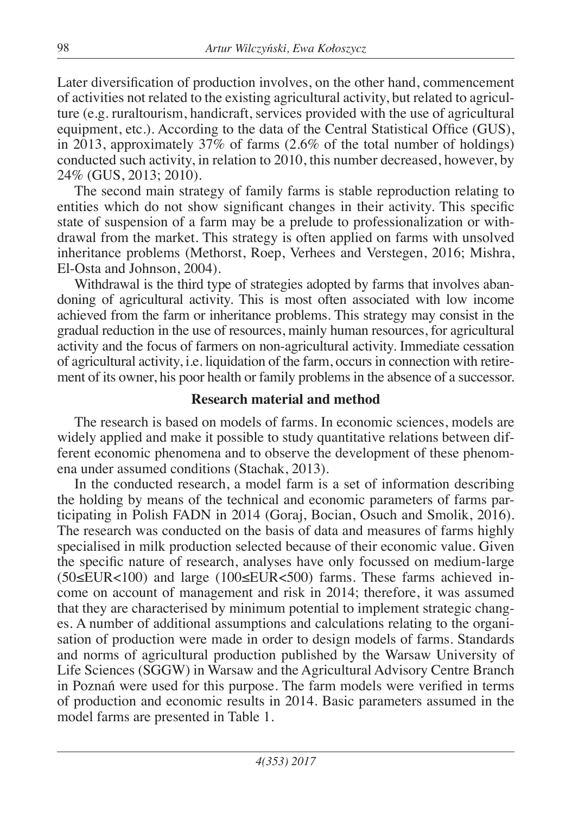Later diversification of production involves, on the other hand, commencement of activities not related to the existing agricultural activity, but related to agriculture (e.g. ruraltourism, handicraft, services provided with the use of agricultural equipment, etc.). According to the data of the Central Statistical Office (GUS), in 2013, approximately 37% of farms (2.6% of the total number of holdings) conducted such activity, in relation to 2010, this number decreased, however, by 24% (GUS, 2013; 2010).

The second main strategy of family farms is stable reproduction relating to entities which do not show significant changes in their activity. This specific state of suspension of a farm may be a prelude to professionalization or withdrawal from the market. This strategy is often applied on farms with unsolved inheritance problems (Methorst, Roep, Verhees and Verstegen, 2016; Mishra, El-Osta and Johnson, 2004).

Withdrawal is the third type of strategies adopted by farms that involves abandoning of agricultural activity. This is most often associated with low income achieved from the farm or inheritance problems. This strategy may consist in the gradual reduction in the use of resources, mainly human resources, for agricultural activity and the focus of farmers on non-agricultural activity. Immediate cessation of agricultural activity, i.e. liquidation of the farm, occurs in connection with retirement of its owner, his poor health or family problems in the absence of a successor.

## **Research material and method**

The research is based on models of farms. In economic sciences, models are widely applied and make it possible to study quantitative relations between different economic phenomena and to observe the development of these phenomena under assumed conditions (Stachak, 2013).

In the conducted research, a model farm is a set of information describing the holding by means of the technical and economic parameters of farms participating in Polish FADN in 2014 (Goraj, Bocian, Osuch and Smolik, 2016). The research was conducted on the basis of data and measures of farms highly specialised in milk production selected because of their economic value. Given the specific nature of research, analyses have only focussed on medium-large (50≤EUR<100) and large (100≤EUR<500) farms. These farms achieved income on account of management and risk in 2014; therefore, it was assumed that they are characterised by minimum potential to implement strategic changes. A number of additional assumptions and calculations relating to the organisation of production were made in order to design models of farms. Standards and norms of agricultural production published by the Warsaw University of Life Sciences (SGGW) in Warsaw and the Agricultural Advisory Centre Branch in Poznań were used for this purpose. The farm models were verified in terms of production and economic results in 2014. Basic parameters assumed in the model farms are presented in Table 1.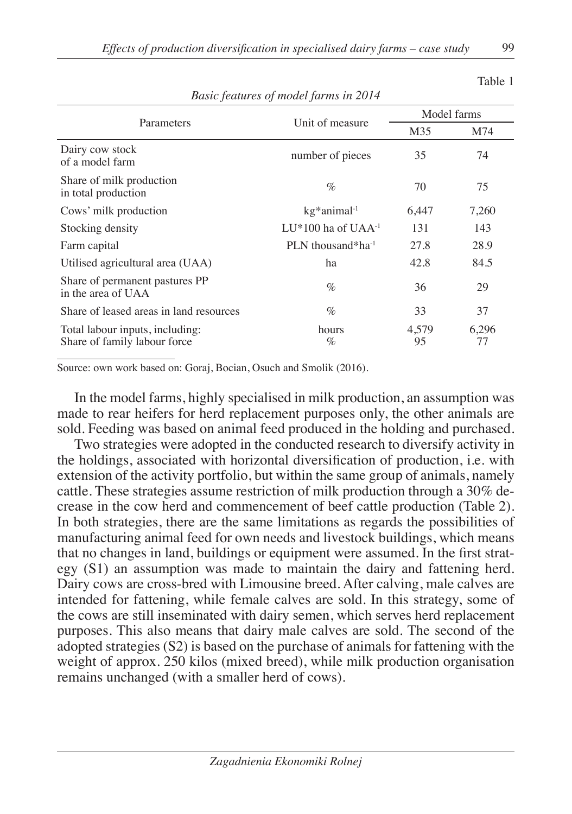| <b>Dasic features of model farms in 2014</b>                    |                               |             |             |  |  |  |  |  |  |
|-----------------------------------------------------------------|-------------------------------|-------------|-------------|--|--|--|--|--|--|
|                                                                 | Unit of measure               | Model farms |             |  |  |  |  |  |  |
| Parameters                                                      |                               | M35         | M74         |  |  |  |  |  |  |
| Dairy cow stock<br>of a model farm                              | number of pieces              | 35          | 74          |  |  |  |  |  |  |
| Share of milk production<br>in total production                 | $\%$                          | 70          | 75          |  |  |  |  |  |  |
| Cows' milk production                                           | $kg*$ animal <sup>-1</sup>    | 6,447       | 7,260       |  |  |  |  |  |  |
| Stocking density                                                | $LU^*100$ ha of $UAA^{-1}$    | 131         | 143         |  |  |  |  |  |  |
| Farm capital                                                    | PLN thousand*ha <sup>-1</sup> | 27.8        | 28.9        |  |  |  |  |  |  |
| Utilised agricultural area (UAA)                                | ha                            | 42.8        | 84.5        |  |  |  |  |  |  |
| Share of permanent pastures PP<br>in the area of UAA            | $\%$                          | 36          | 29          |  |  |  |  |  |  |
| Share of leased areas in land resources                         | $\%$                          | 33          | 37          |  |  |  |  |  |  |
| Total labour inputs, including:<br>Share of family labour force | hours<br>$\%$                 | 4,579<br>95 | 6,296<br>77 |  |  |  |  |  |  |

*Basic features of model farms in 2014*

Source: own work based on: Goraj, Bocian, Osuch and Smolik (2016).

In the model farms, highly specialised in milk production, an assumption was made to rear heifers for herd replacement purposes only, the other animals are sold. Feeding was based on animal feed produced in the holding and purchased.

Two strategies were adopted in the conducted research to diversify activity in the holdings, associated with horizontal diversification of production, i.e. with extension of the activity portfolio, but within the same group of animals, namely cattle. These strategies assume restriction of milk production through a 30% decrease in the cow herd and commencement of beef cattle production (Table 2). In both strategies, there are the same limitations as regards the possibilities of manufacturing animal feed for own needs and livestock buildings, which means that no changes in land, buildings or equipment were assumed. In the first strategy (S1) an assumption was made to maintain the dairy and fattening herd. Dairy cows are cross-bred with Limousine breed. After calving, male calves are intended for fattening, while female calves are sold. In this strategy, some of the cows are still inseminated with dairy semen, which serves herd replacement purposes. This also means that dairy male calves are sold. The second of the adopted strategies (S2) is based on the purchase of animals for fattening with the weight of approx. 250 kilos (mixed breed), while milk production organisation remains unchanged (with a smaller herd of cows).

Table 1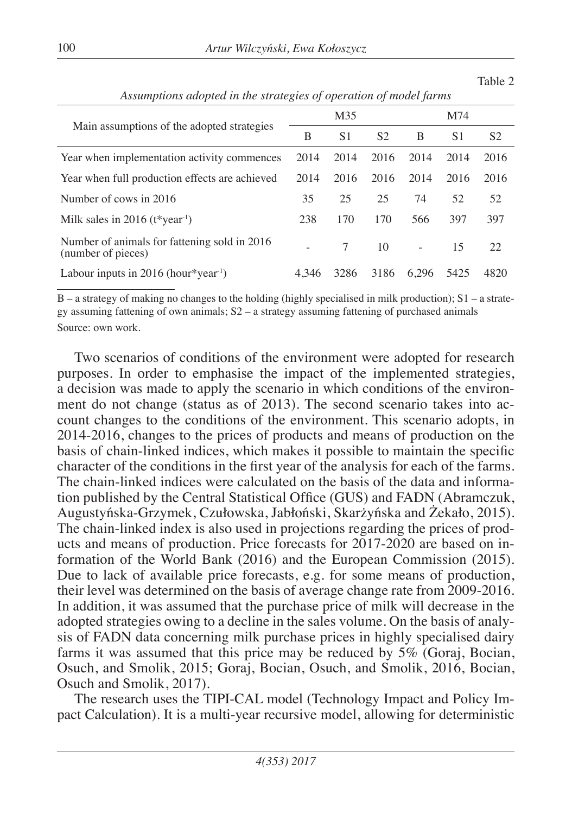| Assumptions adopted in the strategies of operation of model farms  |       |      |                |       |      |                |  |  |  |
|--------------------------------------------------------------------|-------|------|----------------|-------|------|----------------|--|--|--|
| Main assumptions of the adopted strategies                         |       | M35  |                | M74   |      |                |  |  |  |
|                                                                    |       | S1   | S <sub>2</sub> | B     | S1   | S <sub>2</sub> |  |  |  |
| Year when implementation activity commences                        | 2014  | 2014 | 2016           | 2014  | 2014 | 2016           |  |  |  |
| Year when full production effects are achieved                     | 2014  | 2016 | 2016           | 2014  | 2016 | 2016           |  |  |  |
| Number of cows in 2016                                             | 35    | 25   | 25             | 74    | 52   | 52             |  |  |  |
| Milk sales in 2016 $(t^*year^{-1})$                                | 238   | 170  | 170            | 566   | 397  | 397            |  |  |  |
| Number of animals for fattening sold in 2016<br>(number of pieces) |       | 7    | 10             |       | 15   | 22             |  |  |  |
| Labour inputs in 2016 (hour*year <sup>1</sup> )                    | 4.346 | 3286 | 3186           | 6.296 | 5425 | 4820           |  |  |  |

 $B - a$  strategy of making no changes to the holding (highly specialised in milk production);  $S1 - a$  strategy assuming fattening of own animals;  $S2 - a$  strategy assuming fattening of purchased animals Source: own work.

Two scenarios of conditions of the environment were adopted for research purposes. In order to emphasise the impact of the implemented strategies, a decision was made to apply the scenario in which conditions of the environment do not change (status as of 2013). The second scenario takes into account changes to the conditions of the environment. This scenario adopts, in 2014-2016, changes to the prices of products and means of production on the basis of chain-linked indices, which makes it possible to maintain the specific character of the conditions in the first year of the analysis for each of the farms. The chain-linked indices were calculated on the basis of the data and information published by the Central Statistical Office (GUS) and FADN (Abramczuk, Augustyńska-Grzymek, Czułowska, Jabłoński, Skarżyńska and Żekało, 2015). The chain-linked index is also used in projections regarding the prices of products and means of production. Price forecasts for 2017-2020 are based on information of the World Bank (2016) and the European Commission (2015). Due to lack of available price forecasts, e.g. for some means of production, their level was determined on the basis of average change rate from 2009-2016. In addition, it was assumed that the purchase price of milk will decrease in the adopted strategies owing to a decline in the sales volume. On the basis of analysis of FADN data concerning milk purchase prices in highly specialised dairy farms it was assumed that this price may be reduced by 5% (Goraj, Bocian, Osuch, and Smolik, 2015; Goraj, Bocian, Osuch, and Smolik, 2016, Bocian, Osuch and Smolik, 2017).

The research uses the TIPI-CAL model (Technology Impact and Policy Impact Calculation). It is a multi-year recursive model, allowing for deterministic

Table 2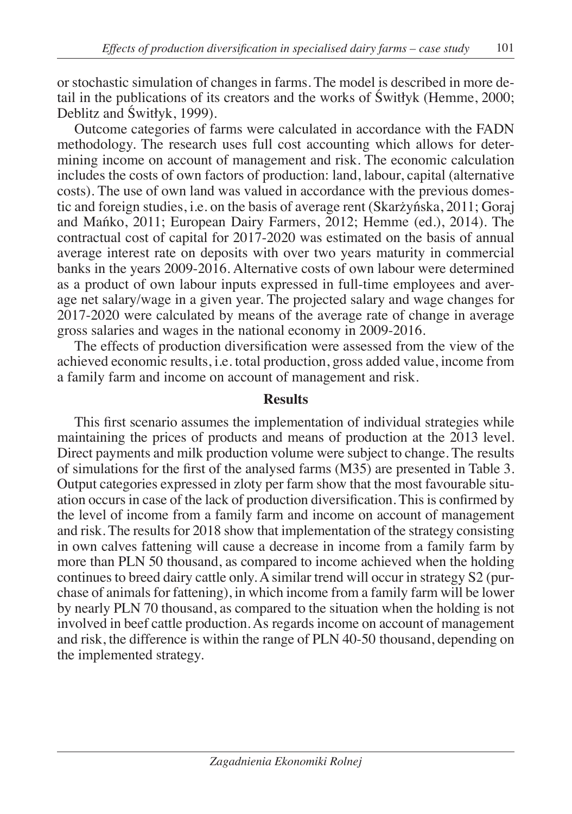or stochastic simulation of changes in farms. The model is described in more detail in the publications of its creators and the works of Świtłyk (Hemme, 2000; Deblitz and Świtłyk, 1999).

Outcome categories of farms were calculated in accordance with the FADN methodology. The research uses full cost accounting which allows for determining income on account of management and risk. The economic calculation includes the costs of own factors of production: land, labour, capital (alternative costs). The use of own land was valued in accordance with the previous domestic and foreign studies, i.e. on the basis of average rent (Skarżyńska, 2011; Goraj and Mańko, 2011; European Dairy Farmers, 2012; Hemme (ed.), 2014). The contractual cost of capital for 2017-2020 was estimated on the basis of annual average interest rate on deposits with over two years maturity in commercial banks in the years 2009-2016. Alternative costs of own labour were determined as a product of own labour inputs expressed in full-time employees and average net salary/wage in a given year. The projected salary and wage changes for 2017-2020 were calculated by means of the average rate of change in average gross salaries and wages in the national economy in 2009-2016.

The effects of production diversification were assessed from the view of the achieved economic results, i.e. total production, gross added value, income from a family farm and income on account of management and risk.

## **Results**

This first scenario assumes the implementation of individual strategies while maintaining the prices of products and means of production at the 2013 level. Direct payments and milk production volume were subject to change. The results of simulations for the first of the analysed farms (M35) are presented in Table 3. Output categories expressed in zloty per farm show that the most favourable situation occurs in case of the lack of production diversification. This is confirmed by the level of income from a family farm and income on account of management and risk. The results for 2018 show that implementation of the strategy consisting in own calves fattening will cause a decrease in income from a family farm by more than PLN 50 thousand, as compared to income achieved when the holding continues to breed dairy cattle only. A similar trend will occur in strategy S2 (purchase of animals for fattening), in which income from a family farm will be lower by nearly PLN 70 thousand, as compared to the situation when the holding is not involved in beef cattle production. As regards income on account of management and risk, the difference is within the range of PLN 40-50 thousand, depending on the implemented strategy.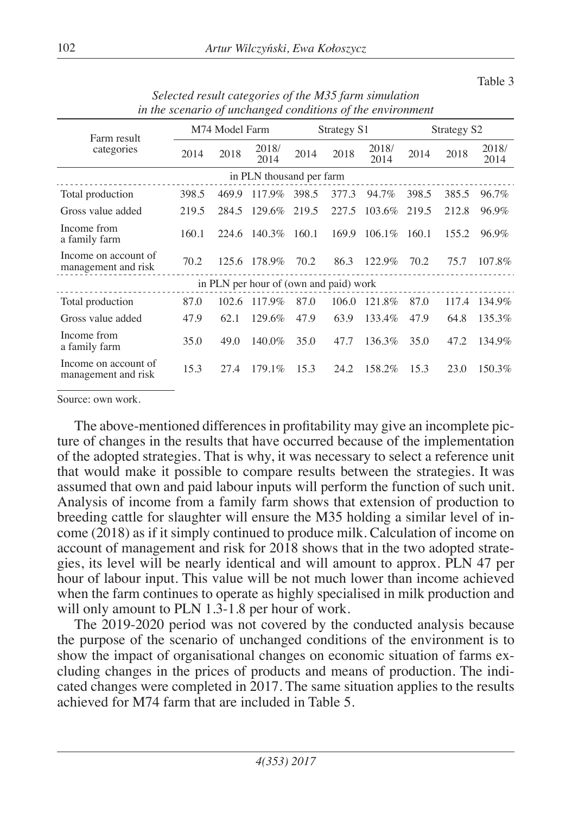Table 3

| Farm result<br>categories                   | M74 Model Farm |       |                                        | Strategy S1 |       |               | Strategy S2 |       |               |
|---------------------------------------------|----------------|-------|----------------------------------------|-------------|-------|---------------|-------------|-------|---------------|
|                                             | 2014           | 2018  | 2018/<br>2014                          | 2014        | 2018  | 2018/<br>2014 | 2014        | 2018  | 2018/<br>2014 |
| in PLN thousand per farm                    |                |       |                                        |             |       |               |             |       |               |
| Total production                            | 398.5          | 469.9 | $117.9\%$                              | 398.5       | 377.3 | 94.7%         | 398.5       | 385.5 | 96.7%         |
| Gross value added                           | 219.5          | 284.5 | $129.6\%$                              | 219.5       | 227.5 | $103.6\%$     | 219.5       | 212.8 | 96.9%         |
| Income from<br>a family farm                | 160.1          | 224.6 | 140.3%                                 | 160.1       | 169.9 | $106.1\%$     | 160.1       | 155.2 | 96.9%         |
| Income on account of<br>management and risk | 70.2           | 125.6 | 178.9%                                 | 70.2        | 86.3  | $122.9\%$     | 70.2        | 75.7  | 107.8%        |
|                                             |                |       | in PLN per hour of (own and paid) work |             |       |               |             |       |               |
| Total production                            | 87.0           | 102.6 | 117.9%                                 | 87.0        | 106.0 | 121.8%        | 87.0        | 117.4 | 134.9%        |
| Gross value added                           | 47.9           | 62.1  | 129.6%                                 | 47.9        | 63.9  | 133.4%        | 47.9        | 64.8  | 135.3%        |
| Income from<br>a family farm                | 35.0           | 49.0  | 140.0%                                 | 35.0        | 47.7  | 136.3%        | 35.0        | 47.2  | 134.9%        |
| Income on account of<br>management and risk | 15.3           | 27.4  | 179.1%                                 | 15.3        | 24.2  | 158.2%        | 15.3        | 23.0  | 150.3%        |

*Selected result categories of the M35 farm simulation in the scenario of unchanged conditions of the environment*

Source: own work.

The above-mentioned differences in profitability may give an incomplete picture of changes in the results that have occurred because of the implementation of the adopted strategies. That is why, it was necessary to select a reference unit that would make it possible to compare results between the strategies. It was assumed that own and paid labour inputs will perform the function of such unit. Analysis of income from a family farm shows that extension of production to breeding cattle for slaughter will ensure the M35 holding a similar level of income (2018) as if it simply continued to produce milk. Calculation of income on account of management and risk for 2018 shows that in the two adopted strategies, its level will be nearly identical and will amount to approx. PLN 47 per hour of labour input. This value will be not much lower than income achieved when the farm continues to operate as highly specialised in milk production and will only amount to PLN 1.3-1.8 per hour of work.

The 2019-2020 period was not covered by the conducted analysis because the purpose of the scenario of unchanged conditions of the environment is to show the impact of organisational changes on economic situation of farms excluding changes in the prices of products and means of production. The indicated changes were completed in 2017. The same situation applies to the results achieved for M74 farm that are included in Table 5.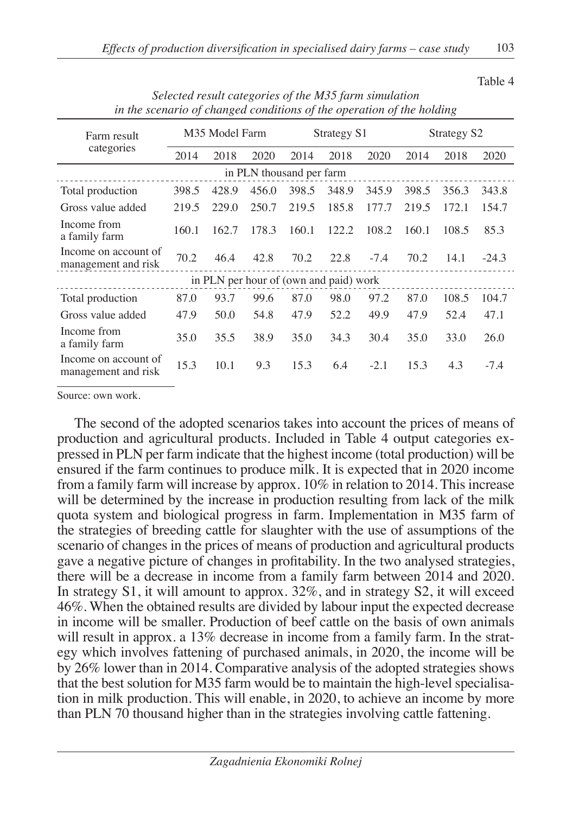Table 4

|                                             |                            | $\circ$ |       |             | $\mathbf{I}$                           |        |             | $\circ$ |         |
|---------------------------------------------|----------------------------|---------|-------|-------------|----------------------------------------|--------|-------------|---------|---------|
| Farm result                                 | M <sub>35</sub> Model Farm |         |       | Strategy S1 |                                        |        | Strategy S2 |         |         |
| categories                                  | 2014                       | 2018    | 2020  | 2014        | 2018                                   | 2020   | 2014        | 2018    | 2020    |
| in PLN thousand per farm                    |                            |         |       |             |                                        |        |             |         |         |
| Total production                            | 398.5                      | 428.9   | 456.0 | 398.5       | 348.9                                  | 345.9  | 398.5       | 356.3   | 343.8   |
| Gross value added                           | 219.5                      | 229.0   | 250.7 | 219.5       | 185.8                                  | 177.7  | 219.5       | 172.1   | 154.7   |
| Income from<br>a family farm                | 160.1                      | 162.7   | 178.3 | 160.1       | 122.2                                  | 108.2  | 160.1       | 108.5   | 85.3    |
| Income on account of<br>management and risk | 70.2                       | 46.4    | 42.8  | 70.2        | 22.8                                   | $-7.4$ | 70.2        | 14.1    | $-24.3$ |
|                                             |                            |         |       |             | in PLN per hour of (own and paid) work |        |             |         |         |
| Total production                            | 87.0                       | 93.7    | 99.6  | 87.0        | 98.0                                   | 97.2   | 87.0        | 108.5   | 104.7   |
| Gross value added                           | 47.9                       | 50.0    | 54.8  | 47.9        | 52.2                                   | 49.9   | 47.9        | 52.4    | 47.1    |
| Income from<br>a family farm                | 35.0                       | 35.5    | 38.9  | 35.0        | 34.3                                   | 30.4   | 35.0        | 33.0    | 26.0    |
| Income on account of<br>management and risk | 15.3                       | 10.1    | 9.3   | 15.3        | 6.4                                    | $-2.1$ | 15.3        | 4.3     | $-7.4$  |

*Selected result categories of the M35 farm simulation in the scenario of changed conditions of the operation of the holding*

Source: own work.

The second of the adopted scenarios takes into account the prices of means of production and agricultural products. Included in Table 4 output categories expressed in PLN per farm indicate that the highest income (total production) will be ensured if the farm continues to produce milk. It is expected that in 2020 income from a family farm will increase by approx. 10% in relation to 2014. This increase will be determined by the increase in production resulting from lack of the milk quota system and biological progress in farm. Implementation in M35 farm of the strategies of breeding cattle for slaughter with the use of assumptions of the scenario of changes in the prices of means of production and agricultural products gave a negative picture of changes in profitability. In the two analysed strategies, there will be a decrease in income from a family farm between 2014 and 2020. In strategy S1, it will amount to approx. 32%, and in strategy S2, it will exceed 46%. When the obtained results are divided by labour input the expected decrease in income will be smaller. Production of beef cattle on the basis of own animals will result in approx. a 13% decrease in income from a family farm. In the strategy which involves fattening of purchased animals, in 2020, the income will be by 26% lower than in 2014. Comparative analysis of the adopted strategies shows that the best solution for M35 farm would be to maintain the high-level specialisation in milk production. This will enable, in 2020, to achieve an income by more than PLN 70 thousand higher than in the strategies involving cattle fattening.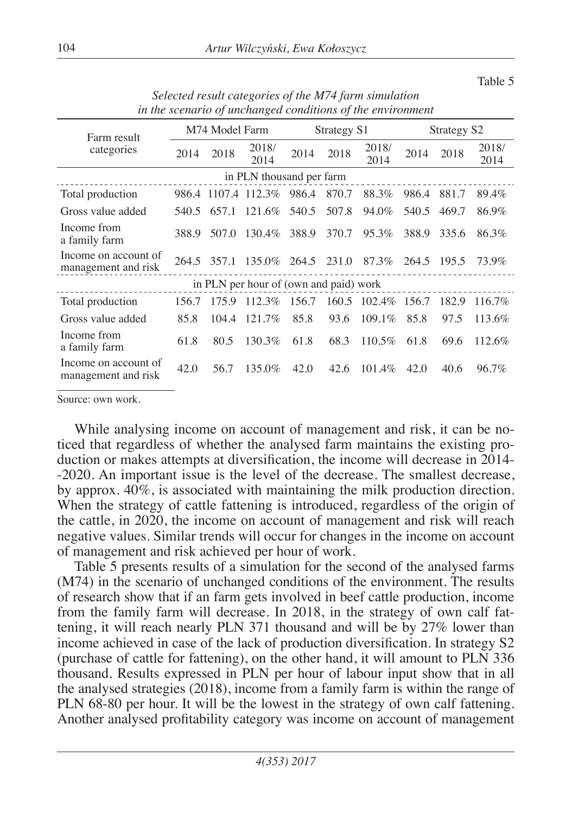Table 5

| Farm result<br>categories                   | M74 Model Farm |       |                                        | Strategy S1 |       |                     | Strategy S2 |       |               |
|---------------------------------------------|----------------|-------|----------------------------------------|-------------|-------|---------------------|-------------|-------|---------------|
|                                             | 2014           | 2018  | 2018/<br>2014                          | 2014        | 2018  | 2018/<br>2014       | 2014        | 2018  | 2018/<br>2014 |
| in PLN thousand per farm                    |                |       |                                        |             |       |                     |             |       |               |
| Total production                            |                |       | 986.4 1107.4 112.3%                    | 986.4       | 870.7 | 88.3%               | 986.4       | 881.7 | 89.4%         |
| Gross value added                           | 540.5          | 657.1 | $121.6\%$                              | 540.5       | 507.8 | 94.0%               | 540.5       | 469.7 | 86.9%         |
| Income from<br>a family farm                | 388.9          | 507.0 | $130.4\%$                              | 388.9       | 370.7 | 95.3%               | 388.9       | 335.6 | 86.3%         |
| Income on account of<br>management and risk | 264.5          | 357.1 | 135.0\% 264.5                          |             | 231.0 | 87.3%               | 264.5       | 195.5 | 73.9%         |
|                                             |                |       | in PLN per hour of (own and paid) work |             |       |                     |             |       |               |
| Total production                            | 156.7          | 175.9 | $112.3\%$                              | 156.7       |       | 160.5 102.4\% 156.7 |             | 182.9 | 116.7%        |
| Gross value added                           | 85.8           | 104.4 | 121.7%                                 | 85.8        | 93.6  | $109.1\%$           | 85.8        | 97.5  | 113.6%        |
| Income from<br>a family farm                | 61.8           | 80.5  | 130.3%                                 | 61.8        | 68.3  | $110.5\%$           | 61.8        | 69.6  | 112.6%        |
| Income on account of<br>management and risk | 42.0           | 56.7  | 135.0%                                 | 42.0        | 42.6  | $101.4\%$           | 42.0        | 40.6  | 96.7%         |

*Selected result categories of the M74 farm simulation in the scenario of unchanged conditions of the environment*

Source: own work.

While analysing income on account of management and risk, it can be noticed that regardless of whether the analysed farm maintains the existing production or makes attempts at diversification, the income will decrease in 2014- -2020. An important issue is the level of the decrease. The smallest decrease, by approx. 40%, is associated with maintaining the milk production direction. When the strategy of cattle fattening is introduced, regardless of the origin of the cattle, in 2020, the income on account of management and risk will reach negative values. Similar trends will occur for changes in the income on account of management and risk achieved per hour of work.

Table 5 presents results of a simulation for the second of the analysed farms (M74) in the scenario of unchanged conditions of the environment. The results of research show that if an farm gets involved in beef cattle production, income from the family farm will decrease. In 2018, in the strategy of own calf fattening, it will reach nearly PLN 371 thousand and will be by 27% lower than income achieved in case of the lack of production diversification. In strategy S2 (purchase of cattle for fattening), on the other hand, it will amount to PLN 336 thousand. Results expressed in PLN per hour of labour input show that in all the analysed strategies (2018), income from a family farm is within the range of PLN 68-80 per hour. It will be the lowest in the strategy of own calf fattening. Another analysed profitability category was income on account of management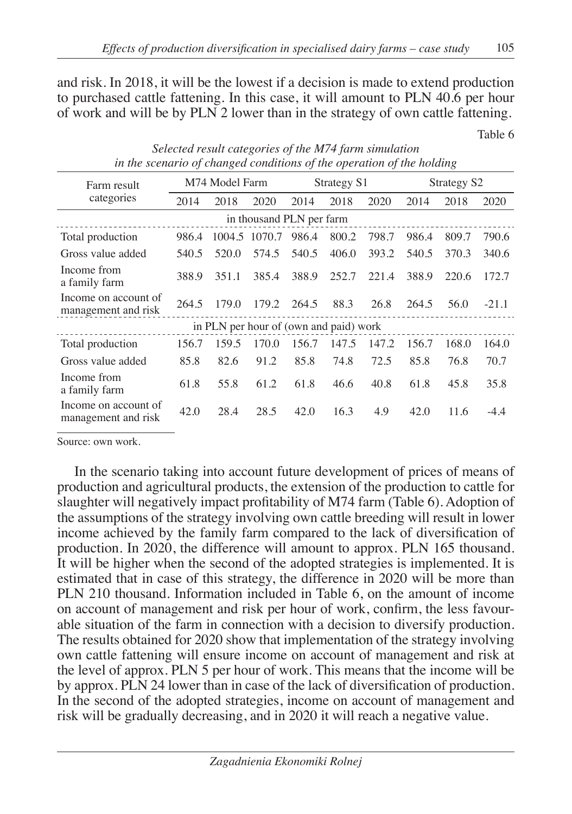and risk. In 2018, it will be the lowest if a decision is made to extend production to purchased cattle fattening. In this case, it will amount to PLN 40.6 per hour of work and will be by PLN 2 lower than in the strategy of own cattle fattening.

Table 6

| Farm result                                 | M74 Model Farm |                                        |               | Strategy S1 |       |       | Strategy S2 |       |         |
|---------------------------------------------|----------------|----------------------------------------|---------------|-------------|-------|-------|-------------|-------|---------|
| categories                                  | 2014           | 2018                                   | 2020          | 2014        | 2018  | 2020  | 2014        | 2018  | 2020    |
| in thousand PLN per farm                    |                |                                        |               |             |       |       |             |       |         |
| Total production                            | 986.4          |                                        | 1004.5 1070.7 | 986.4       | 800.2 | 798.7 | 986.4       | 809.7 | 790.6   |
| Gross value added                           | 540.5          | 520.0                                  | 574.5         | 540.5       | 406.0 | 393.2 | 540.5       | 370.3 | 340.6   |
| Income from<br>a family farm                | 388.9          | 351.1                                  | 385.4         | 388.9       | 252.7 | 221.4 | 388.9       | 220.6 | 172.7   |
| Income on account of<br>management and risk | 264.5          | 179.0                                  | 179.2         | 264.5       | 88.3  | 26.8  | 264.5       | 56.0  | $-21.1$ |
|                                             |                | in PLN per hour of (own and paid) work |               |             |       |       |             |       |         |
| Total production                            | 156.7          | 159.5                                  | 170.0         | 156.7       | 147.5 | 147.2 | 156.7       | 168.0 | 164.0   |
| Gross value added                           | 85.8           | 82.6                                   | 91.2          | 85.8        | 74.8  | 72.5  | 85.8        | 76.8  | 70.7    |
| Income from<br>a family farm                | 61.8           | 55.8                                   | 61.2          | 61.8        | 46.6  | 40.8  | 61.8        | 45.8  | 35.8    |
| Income on account of<br>management and risk | 42.0           | 28.4                                   | 28.5          | 42.0        | 16.3  | 4.9   | 42.0        | 11.6  | $-4.4$  |

*Selected result categories of the M74 farm simulation in the scenario of changed conditions of the operation of the holding*

Source: own work.

In the scenario taking into account future development of prices of means of production and agricultural products, the extension of the production to cattle for slaughter will negatively impact profitability of M74 farm (Table 6). Adoption of the assumptions of the strategy involving own cattle breeding will result in lower income achieved by the family farm compared to the lack of diversification of production. In 2020, the difference will amount to approx. PLN 165 thousand. It will be higher when the second of the adopted strategies is implemented. It is estimated that in case of this strategy, the difference in 2020 will be more than PLN 210 thousand. Information included in Table 6, on the amount of income on account of management and risk per hour of work, confirm, the less favourable situation of the farm in connection with a decision to diversify production. The results obtained for 2020 show that implementation of the strategy involving own cattle fattening will ensure income on account of management and risk at the level of approx. PLN 5 per hour of work. This means that the income will be by approx. PLN 24 lower than in case of the lack of diversification of production. In the second of the adopted strategies, income on account of management and risk will be gradually decreasing, and in 2020 it will reach a negative value.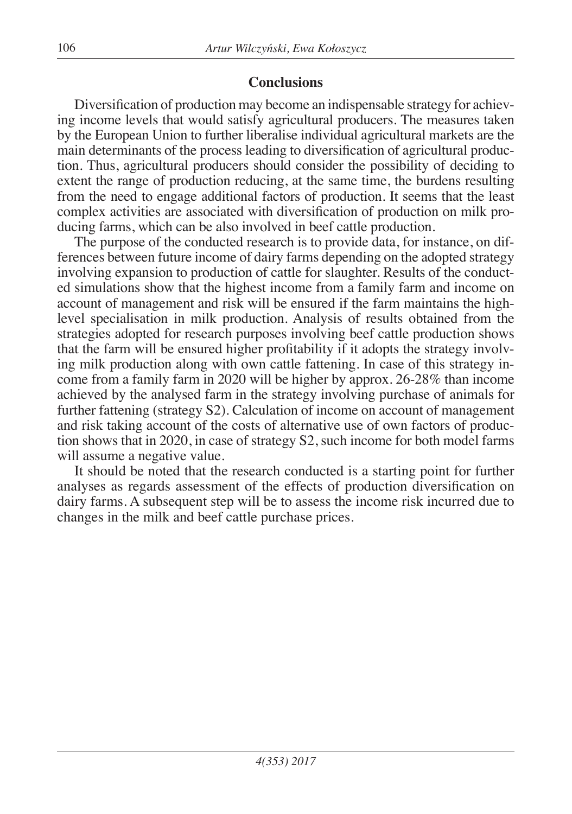# **Conclusions**

Diversification of production may become an indispensable strategy for achieving income levels that would satisfy agricultural producers. The measures taken by the European Union to further liberalise individual agricultural markets are the main determinants of the process leading to diversification of agricultural production. Thus, agricultural producers should consider the possibility of deciding to extent the range of production reducing, at the same time, the burdens resulting from the need to engage additional factors of production. It seems that the least complex activities are associated with diversification of production on milk producing farms, which can be also involved in beef cattle production.

The purpose of the conducted research is to provide data, for instance, on differences between future income of dairy farms depending on the adopted strategy involving expansion to production of cattle for slaughter. Results of the conducted simulations show that the highest income from a family farm and income on account of management and risk will be ensured if the farm maintains the highlevel specialisation in milk production. Analysis of results obtained from the strategies adopted for research purposes involving beef cattle production shows that the farm will be ensured higher profitability if it adopts the strategy involving milk production along with own cattle fattening. In case of this strategy income from a family farm in 2020 will be higher by approx. 26-28% than income achieved by the analysed farm in the strategy involving purchase of animals for further fattening (strategy S2). Calculation of income on account of management and risk taking account of the costs of alternative use of own factors of production shows that in 2020, in case of strategy S2, such income for both model farms will assume a negative value.

It should be noted that the research conducted is a starting point for further analyses as regards assessment of the effects of production diversification on dairy farms. A subsequent step will be to assess the income risk incurred due to changes in the milk and beef cattle purchase prices.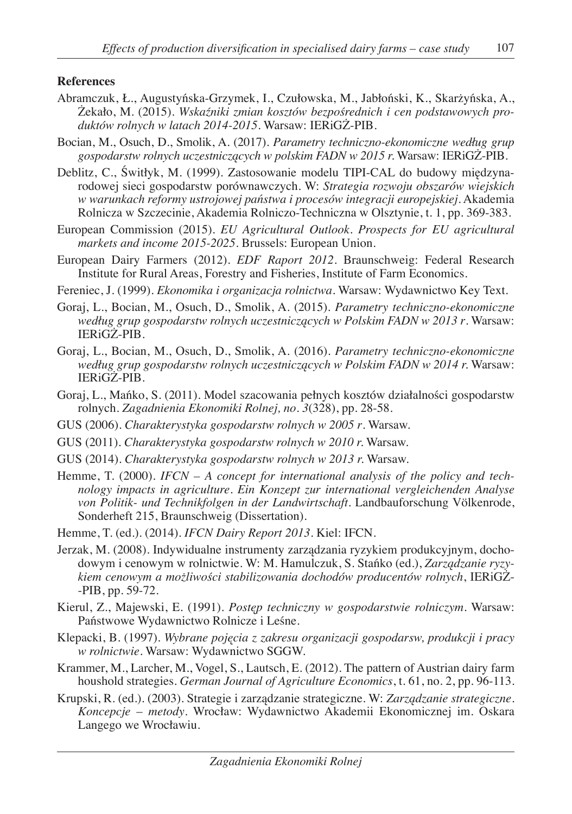### **References**

- Abramczuk, Ł., Augustyńska-Grzymek, I., Czułowska, M., Jabłoński, K., Skarżyńska, A., Żekało, M. (2015). *Wskaźniki zmian kosztów bezpośrednich i cen podstawowych produktów rolnych w latach 2014-2015*. Warsaw: IERiGŻ-PIB.
- Bocian, M., Osuch, D., Smolik, A. (2017). *Parametry techniczno-ekonomiczne według grup gospodarstw rolnych uczestniczących w polskim FADN w 2015 r.* Warsaw: IERiGŻ-PIB.
- Deblitz, C., Świtłyk, M. (1999). Zastosowanie modelu TIPI-CAL do budowy międzynarodowej sieci gospodarstw porównawczych. W: *Strategia rozwoju obszarów wiejskich w warunkach reformy ustrojowej państwa i procesów integracji europejskiej*. Akademia Rolnicza w Szczecinie, Akademia Rolniczo-Techniczna w Olsztynie, t. 1, pp. 369-383.
- European Commission (2015). *EU Agricultural Outlook. Prospects for EU agricultural markets and income 2015-2025*. Brussels: European Union.
- European Dairy Farmers (2012). *EDF Raport 2012*. Braunschweig: Federal Research Institute for Rural Areas, Forestry and Fisheries, Institute of Farm Economics.
- Fereniec, J. (1999). *Ekonomika i organizacja rolnictwa*. Warsaw: Wydawnictwo Key Text.
- Goraj, L., Bocian, M., Osuch, D., Smolik, A. (2015). *Parametry techniczno-ekonomiczne według grup gospodarstw rolnych uczestniczących w Polskim FADN w 2013 r*. Warsaw: IERiGŻ-PIB.
- Goraj, L., Bocian, M., Osuch, D., Smolik, A. (2016). *Parametry techniczno-ekonomiczne według grup gospodarstw rolnych uczestniczących w Polskim FADN w 2014 r.* Warsaw: IERiGŻ-PIB.
- Goraj, L., Mańko, S. (2011). Model szacowania pełnych kosztów działalności gospodarstw rolnych. *Zagadnienia Ekonomiki Rolnej, no. 3*(328), pp. 28-58.
- GUS (2006). *Charakterystyka gospodarstw rolnych w 2005 r*. Warsaw.
- GUS (2011). *Charakterystyka gospodarstw rolnych w 2010 r.* Warsaw.
- GUS (2014). *Charakterystyka gospodarstw rolnych w 2013 r.* Warsaw.
- Hemme, T. (2000). *IFCN A concept for international analysis of the policy and technology impacts in agriculture. Ein Konzept zur international vergleichenden Analyse von Politik- und Technikfolgen in der Landwirtschaft*. Landbauforschung Völkenrode, Sonderheft 215, Braunschweig (Dissertation).
- Hemme, T. (ed.). (2014). *IFCN Dairy Report 2013*. Kiel: IFCN.
- Jerzak, M. (2008). Indywidualne instrumenty zarządzania ryzykiem produkcyjnym, dochodowym i cenowym w rolnictwie. W: M. Hamulczuk, S. Stańko (ed.), *Zarządzanie ryzykiem cenowym a możliwości stabilizowania dochodów producentów rolnych*, IERiGŻ- -PIB, pp. 59-72.
- Kierul, Z., Majewski, E. (1991). *Postęp techniczny w gospodarstwie rolniczym*. Warsaw: Państwowe Wydawnictwo Rolnicze i Leśne.
- Klepacki, B. (1997). *Wybrane pojęcia z zakresu organizacji gospodarsw, produkcji i pracy w rolnictwie*. Warsaw: Wydawnictwo SGGW.
- Krammer, M., Larcher, M., Vogel, S., Lautsch, E. (2012). The pattern of Austrian dairy farm houshold strategies. *German Journal of Agriculture Economics*, t. 61, no. 2, pp. 96-113.
- Krupski, R. (ed.). (2003). Strategie i zarządzanie strategiczne. W: *Zarządzanie strategiczne. Koncepcje* – *metody*. Wrocław: Wydawnictwo Akademii Ekonomicznej im. Oskara Langego we Wrocławiu.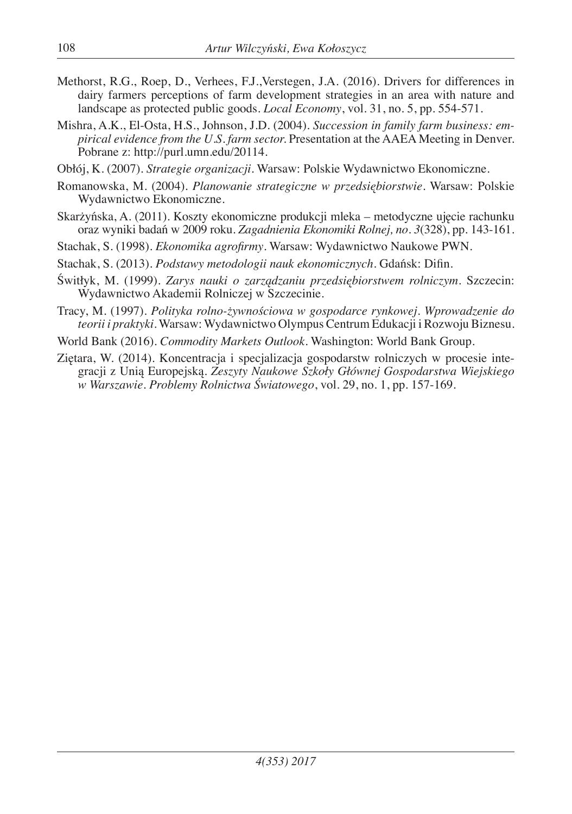- Methorst, R.G., Roep, D., Verhees, F.J.,Verstegen, J.A. (2016). Drivers for differences in dairy farmers perceptions of farm development strategies in an area with nature and landscape as protected public goods. *Local Economy*, vol. 31, no. 5, pp. 554-571.
- Mishra, A.K., El-Osta, H.S., Johnson, J.D. (2004). *Succession in family farm business: empirical evidence from the U.S. farm sector.* Presentation at the AAEA Meeting in Denver. Pobrane z: http://purl.umn.edu/20114.

Obłój, K. (2007). *Strategie organizacji*. Warsaw: Polskie Wydawnictwo Ekonomiczne.

- Romanowska, M. (2004). *Planowanie strategiczne w przedsiębiorstwie*. Warsaw: Polskie Wydawnictwo Ekonomiczne.
- Skarżyńska, A. (2011). Koszty ekonomiczne produkcji mleka metodyczne ujęcie rachunku oraz wyniki badań w 2009 roku. *Zagadnienia Ekonomiki Rolnej, no. 3*(328), pp. 143-161.
- Stachak, S. (1998). *Ekonomika agrofirmy*. Warsaw: Wydawnictwo Naukowe PWN.
- Stachak, S. (2013). *Podstawy metodologii nauk ekonomicznych*. Gdańsk: Difin.
- Świtłyk, M. (1999). *Zarys nauki o zarządzaniu przedsiębiorstwem rolniczym*. Szczecin: Wydawnictwo Akademii Rolniczej w Szczecinie.
- Tracy, M. (1997). *Polityka rolno-żywnościowa w gospodarce rynkowej. Wprowadzenie do teorii i praktyki*. Warsaw: Wydawnictwo Olympus Centrum Edukacji i Rozwoju Biznesu.
- World Bank (2016). *Commodity Markets Outlook*. Washington: World Bank Group.
- Ziętara, W. (2014). Koncentracja i specjalizacja gospodarstw rolniczych w procesie integracji z Unią Europejską. *Zeszyty Naukowe Szkoły Głównej Gospodarstwa Wiejskiego w Warszawie. Problemy Rolnictwa Światowego*, vol. 29, no. 1, pp. 157-169.